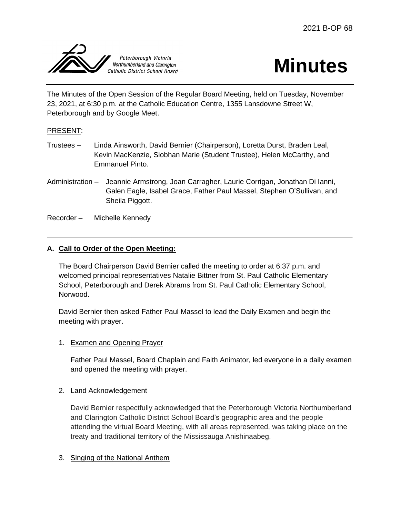



The Minutes of the Open Session of the Regular Board Meeting, held on Tuesday, November 23, 2021, at 6:30 p.m. at the Catholic Education Centre, 1355 Lansdowne Street W, Peterborough and by Google Meet.

# PRESENT:

- Trustees Linda Ainsworth, David Bernier (Chairperson), Loretta Durst, Braden Leal, Kevin MacKenzie, Siobhan Marie (Student Trustee), Helen McCarthy, and Emmanuel Pinto.
- Administration Jeannie Armstrong, Joan Carragher, Laurie Corrigan, Jonathan Di Ianni, Galen Eagle, Isabel Grace, Father Paul Massel, Stephen O'Sullivan, and Sheila Piggott.

Recorder – Michelle Kennedy

# **A. Call to Order of the Open Meeting:**

The Board Chairperson David Bernier called the meeting to order at 6:37 p.m. and welcomed principal representatives Natalie Bittner from St. Paul Catholic Elementary School, Peterborough and Derek Abrams from St. Paul Catholic Elementary School, Norwood.

David Bernier then asked Father Paul Massel to lead the Daily Examen and begin the meeting with prayer.

## 1. Examen and Opening Prayer

Father Paul Massel, Board Chaplain and Faith Animator, led everyone in a daily examen and opened the meeting with prayer.

## 2. Land Acknowledgement

David Bernier respectfully acknowledged that the Peterborough Victoria Northumberland and Clarington Catholic District School Board's geographic area and the people attending the virtual Board Meeting, with all areas represented, was taking place on the treaty and traditional territory of the Mississauga Anishinaabeg.

## 3. Singing of the National Anthem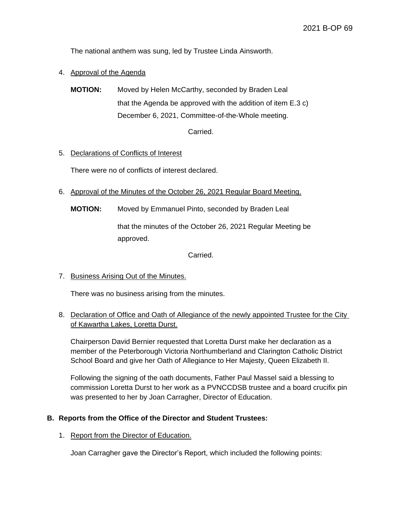The national anthem was sung, led by Trustee Linda Ainsworth.

4. Approval of the Agenda

**MOTION:** Moved by Helen McCarthy, seconded by Braden Leal that the Agenda be approved with the addition of item E.3 c) December 6, 2021, Committee-of-the-Whole meeting.

Carried.

### 5. Declarations of Conflicts of Interest

There were no of conflicts of interest declared.

- 6. Approval of the Minutes of the October 26, 2021 Regular Board Meeting.
	- **MOTION:** Moved by Emmanuel Pinto, seconded by Braden Leal

that the minutes of the October 26, 2021 Regular Meeting be approved.

Carried.

7. Business Arising Out of the Minutes.

There was no business arising from the minutes.

8. Declaration of Office and Oath of Allegiance of the newly appointed Trustee for the City of Kawartha Lakes, Loretta Durst.

Chairperson David Bernier requested that Loretta Durst make her declaration as a member of the Peterborough Victoria Northumberland and Clarington Catholic District School Board and give her Oath of Allegiance to Her Majesty, Queen Elizabeth II.

Following the signing of the oath documents, Father Paul Massel said a blessing to commission Loretta Durst to her work as a PVNCCDSB trustee and a board crucifix pin was presented to her by Joan Carragher, Director of Education.

#### **B. Reports from the Office of the Director and Student Trustees:**

1. Report from the Director of Education.

Joan Carragher gave the Director's Report, which included the following points: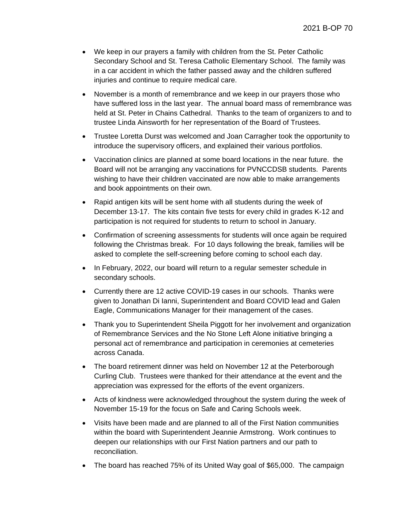- We keep in our prayers a family with children from the St. Peter Catholic Secondary School and St. Teresa Catholic Elementary School. The family was in a car accident in which the father passed away and the children suffered injuries and continue to require medical care.
- November is a month of remembrance and we keep in our prayers those who have suffered loss in the last year. The annual board mass of remembrance was held at St. Peter in Chains Cathedral. Thanks to the team of organizers to and to trustee Linda Ainsworth for her representation of the Board of Trustees.
- Trustee Loretta Durst was welcomed and Joan Carragher took the opportunity to introduce the supervisory officers, and explained their various portfolios.
- Vaccination clinics are planned at some board locations in the near future. the Board will not be arranging any vaccinations for PVNCCDSB students. Parents wishing to have their children vaccinated are now able to make arrangements and book appointments on their own.
- Rapid antigen kits will be sent home with all students during the week of December 13-17. The kits contain five tests for every child in grades K-12 and participation is not required for students to return to school in January.
- Confirmation of screening assessments for students will once again be required following the Christmas break. For 10 days following the break, families will be asked to complete the self-screening before coming to school each day.
- In February, 2022, our board will return to a regular semester schedule in secondary schools.
- Currently there are 12 active COVID-19 cases in our schools. Thanks were given to Jonathan Di Ianni, Superintendent and Board COVID lead and Galen Eagle, Communications Manager for their management of the cases.
- Thank you to Superintendent Sheila Piggott for her involvement and organization of Remembrance Services and the No Stone Left Alone initiative bringing a personal act of remembrance and participation in ceremonies at cemeteries across Canada.
- The board retirement dinner was held on November 12 at the Peterborough Curling Club. Trustees were thanked for their attendance at the event and the appreciation was expressed for the efforts of the event organizers.
- Acts of kindness were acknowledged throughout the system during the week of November 15-19 for the focus on Safe and Caring Schools week.
- Visits have been made and are planned to all of the First Nation communities within the board with Superintendent Jeannie Armstrong. Work continues to deepen our relationships with our First Nation partners and our path to reconciliation.
- The board has reached 75% of its United Way goal of \$65,000. The campaign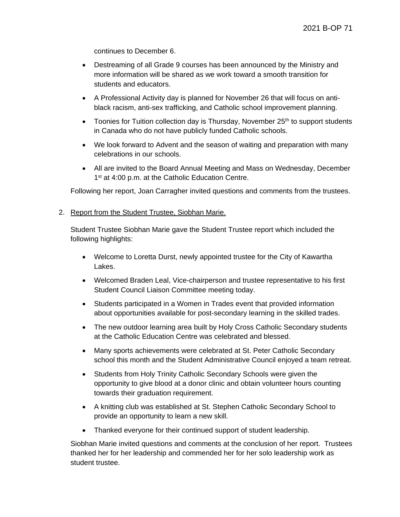continues to December 6.

- Destreaming of all Grade 9 courses has been announced by the Ministry and more information will be shared as we work toward a smooth transition for students and educators.
- A Professional Activity day is planned for November 26 that will focus on antiblack racism, anti-sex trafficking, and Catholic school improvement planning.
- Toonies for Tuition collection day is Thursday, November  $25<sup>th</sup>$  to support students in Canada who do not have publicly funded Catholic schools.
- We look forward to Advent and the season of waiting and preparation with many celebrations in our schools.
- All are invited to the Board Annual Meeting and Mass on Wednesday, December 1<sup>st</sup> at 4:00 p.m. at the Catholic Education Centre.

Following her report, Joan Carragher invited questions and comments from the trustees.

2. Report from the Student Trustee, Siobhan Marie.

Student Trustee Siobhan Marie gave the Student Trustee report which included the following highlights:

- Welcome to Loretta Durst, newly appointed trustee for the City of Kawartha Lakes.
- Welcomed Braden Leal, Vice-chairperson and trustee representative to his first Student Council Liaison Committee meeting today.
- Students participated in a Women in Trades event that provided information about opportunities available for post-secondary learning in the skilled trades.
- The new outdoor learning area built by Holy Cross Catholic Secondary students at the Catholic Education Centre was celebrated and blessed.
- Many sports achievements were celebrated at St. Peter Catholic Secondary school this month and the Student Administrative Council enjoyed a team retreat.
- Students from Holy Trinity Catholic Secondary Schools were given the opportunity to give blood at a donor clinic and obtain volunteer hours counting towards their graduation requirement.
- A knitting club was established at St. Stephen Catholic Secondary School to provide an opportunity to learn a new skill.
- Thanked everyone for their continued support of student leadership.

Siobhan Marie invited questions and comments at the conclusion of her report. Trustees thanked her for her leadership and commended her for her solo leadership work as student trustee.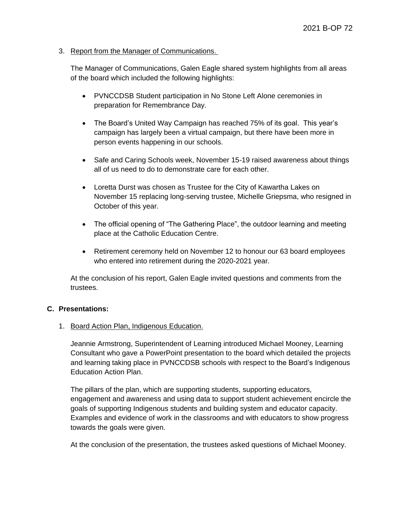### 3. Report from the Manager of Communications.

The Manager of Communications, Galen Eagle shared system highlights from all areas of the board which included the following highlights:

- PVNCCDSB Student participation in No Stone Left Alone ceremonies in preparation for Remembrance Day.
- The Board's United Way Campaign has reached 75% of its goal. This year's campaign has largely been a virtual campaign, but there have been more in person events happening in our schools.
- Safe and Caring Schools week, November 15-19 raised awareness about things all of us need to do to demonstrate care for each other.
- Loretta Durst was chosen as Trustee for the City of Kawartha Lakes on November 15 replacing long-serving trustee, Michelle Griepsma, who resigned in October of this year.
- The official opening of "The Gathering Place", the outdoor learning and meeting place at the Catholic Education Centre.
- Retirement ceremony held on November 12 to honour our 63 board employees who entered into retirement during the 2020-2021 year.

At the conclusion of his report, Galen Eagle invited questions and comments from the trustees.

## **C. Presentations:**

## 1. Board Action Plan, Indigenous Education.

Jeannie Armstrong, Superintendent of Learning introduced Michael Mooney, Learning Consultant who gave a PowerPoint presentation to the board which detailed the projects and learning taking place in PVNCCDSB schools with respect to the Board's Indigenous Education Action Plan.

The pillars of the plan, which are supporting students, supporting educators, engagement and awareness and using data to support student achievement encircle the goals of supporting Indigenous students and building system and educator capacity. Examples and evidence of work in the classrooms and with educators to show progress towards the goals were given.

At the conclusion of the presentation, the trustees asked questions of Michael Mooney.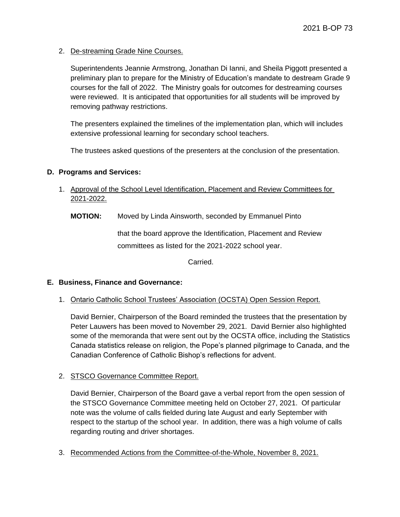2. De-streaming Grade Nine Courses.

Superintendents Jeannie Armstrong, Jonathan Di Ianni, and Sheila Piggott presented a preliminary plan to prepare for the Ministry of Education's mandate to destream Grade 9 courses for the fall of 2022. The Ministry goals for outcomes for destreaming courses were reviewed. It is anticipated that opportunities for all students will be improved by removing pathway restrictions.

The presenters explained the timelines of the implementation plan, which will includes extensive professional learning for secondary school teachers.

The trustees asked questions of the presenters at the conclusion of the presentation.

### **D. Programs and Services:**

1. Approval of the School Level Identification, Placement and Review Committees for 2021-2022.

**MOTION:** Moved by Linda Ainsworth, seconded by Emmanuel Pinto

that the board approve the Identification, Placement and Review committees as listed for the 2021-2022 school year.

Carried.

#### **E. Business, Finance and Governance:**

1. Ontario Catholic School Trustees' Association (OCSTA) Open Session Report.

David Bernier, Chairperson of the Board reminded the trustees that the presentation by Peter Lauwers has been moved to November 29, 2021. David Bernier also highlighted some of the memoranda that were sent out by the OCSTA office, including the Statistics Canada statistics release on religion, the Pope's planned pilgrimage to Canada, and the Canadian Conference of Catholic Bishop's reflections for advent.

## 2. STSCO Governance Committee Report.

David Bernier, Chairperson of the Board gave a verbal report from the open session of the STSCO Governance Committee meeting held on October 27, 2021. Of particular note was the volume of calls fielded during late August and early September with respect to the startup of the school year. In addition, there was a high volume of calls regarding routing and driver shortages.

3. Recommended Actions from the Committee-of-the-Whole, November 8, 2021.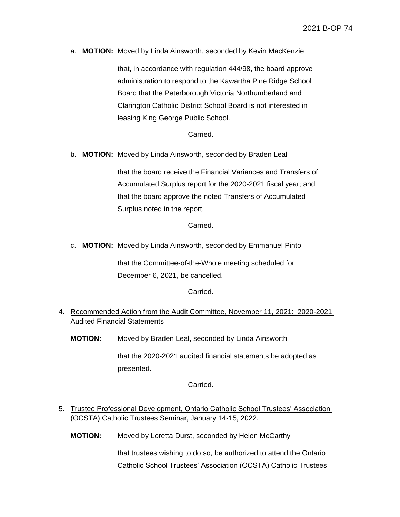a. **MOTION:** Moved by Linda Ainsworth, seconded by Kevin MacKenzie

that, in accordance with regulation 444/98, the board approve administration to respond to the Kawartha Pine Ridge School Board that the Peterborough Victoria Northumberland and Clarington Catholic District School Board is not interested in leasing King George Public School.

### Carried.

b. **MOTION:** Moved by Linda Ainsworth, seconded by Braden Leal

that the board receive the Financial Variances and Transfers of Accumulated Surplus report for the 2020-2021 fiscal year; and that the board approve the noted Transfers of Accumulated Surplus noted in the report.

Carried.

c. **MOTION:** Moved by Linda Ainsworth, seconded by Emmanuel Pinto

that the Committee-of-the-Whole meeting scheduled for December 6, 2021, be cancelled.

Carried.

- 4. Recommended Action from the Audit Committee, November 11, 2021: 2020-2021 Audited Financial Statements
	- **MOTION:** Moved by Braden Leal, seconded by Linda Ainsworth

that the 2020-2021 audited financial statements be adopted as presented.

Carried.

- 5. Trustee Professional Development, Ontario Catholic School Trustees' Association (OCSTA) Catholic Trustees Seminar, January 14-15, 2022.
	- **MOTION:** Moved by Loretta Durst, seconded by Helen McCarthy

that trustees wishing to do so, be authorized to attend the Ontario Catholic School Trustees' Association (OCSTA) Catholic Trustees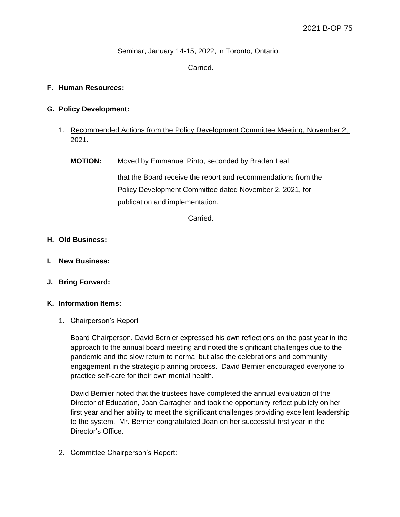Seminar, January 14-15, 2022, in Toronto, Ontario.

## Carried.

## **F. Human Resources:**

### **G. Policy Development:**

- 1. Recommended Actions from the Policy Development Committee Meeting, November 2, 2021.
	- **MOTION:** Moved by Emmanuel Pinto, seconded by Braden Leal that the Board receive the report and recommendations from the Policy Development Committee dated November 2, 2021, for publication and implementation.

Carried.

### **H. Old Business:**

- **I. New Business:**
- **J. Bring Forward:**

#### **K. Information Items:**

#### 1. Chairperson's Report

Board Chairperson, David Bernier expressed his own reflections on the past year in the approach to the annual board meeting and noted the significant challenges due to the pandemic and the slow return to normal but also the celebrations and community engagement in the strategic planning process. David Bernier encouraged everyone to practice self-care for their own mental health.

David Bernier noted that the trustees have completed the annual evaluation of the Director of Education, Joan Carragher and took the opportunity reflect publicly on her first year and her ability to meet the significant challenges providing excellent leadership to the system. Mr. Bernier congratulated Joan on her successful first year in the Director's Office.

# 2. Committee Chairperson's Report: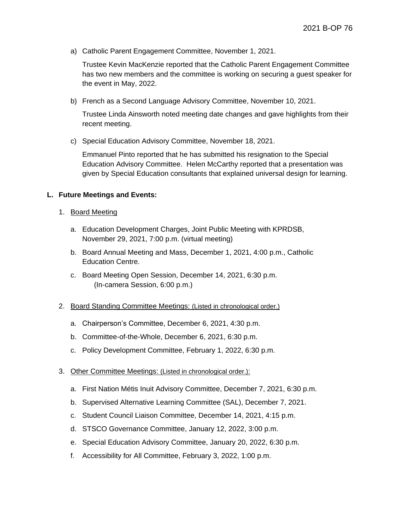a) Catholic Parent Engagement Committee, November 1, 2021.

Trustee Kevin MacKenzie reported that the Catholic Parent Engagement Committee has two new members and the committee is working on securing a guest speaker for the event in May, 2022.

b) French as a Second Language Advisory Committee, November 10, 2021.

Trustee Linda Ainsworth noted meeting date changes and gave highlights from their recent meeting.

c) Special Education Advisory Committee, November 18, 2021.

Emmanuel Pinto reported that he has submitted his resignation to the Special Education Advisory Committee. Helen McCarthy reported that a presentation was given by Special Education consultants that explained universal design for learning.

### **L. Future Meetings and Events:**

- 1. Board Meeting
	- a. Education Development Charges, Joint Public Meeting with KPRDSB, November 29, 2021, 7:00 p.m. (virtual meeting)
	- b. Board Annual Meeting and Mass, December 1, 2021, 4:00 p.m., Catholic Education Centre.
	- c. Board Meeting Open Session, December 14, 2021, 6:30 p.m. (In-camera Session, 6:00 p.m.)

## 2. Board Standing Committee Meetings: (Listed in chronological order.)

- a. Chairperson's Committee, December 6, 2021, 4:30 p.m.
- b. Committee-of-the-Whole, December 6, 2021, 6:30 p.m.
- c. Policy Development Committee, February 1, 2022, 6:30 p.m.

#### 3. Other Committee Meetings: (Listed in chronological order.):

- a. First Nation Métis Inuit Advisory Committee, December 7, 2021, 6:30 p.m.
- b. Supervised Alternative Learning Committee (SAL), December 7, 2021.
- c. Student Council Liaison Committee, December 14, 2021, 4:15 p.m.
- d. STSCO Governance Committee, January 12, 2022, 3:00 p.m.
- e. Special Education Advisory Committee, January 20, 2022, 6:30 p.m.
- f. Accessibility for All Committee, February 3, 2022, 1:00 p.m.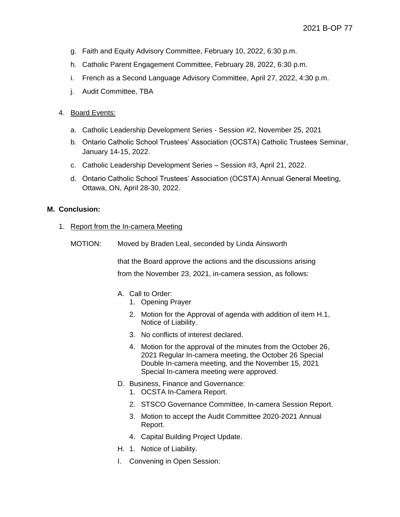- g. Faith and Equity Advisory Committee, February 10, 2022, 6:30 p.m.
- h. Catholic Parent Engagement Committee, February 28, 2022, 6:30 p.m.
- i. French as a Second Language Advisory Committee, April 27, 2022, 4:30 p.m.
- j. Audit Committee, TBA

## 4. Board Events:

- a. Catholic Leadership Development Series Session #2, November 25, 2021
- b. Ontario Catholic School Trustees' Association (OCSTA) Catholic Trustees Seminar, January 14-15, 2022.
- c. Catholic Leadership Development Series Session #3, April 21, 2022.
- d. Ontario Catholic School Trustees' Association (OCSTA) Annual General Meeting, Ottawa, ON, April 28-30, 2022.

### **M. Conclusion:**

#### 1. Report from the In-camera Meeting

MOTION: Moved by Braden Leal, seconded by Linda Ainsworth

that the Board approve the actions and the discussions arising from the November 23, 2021, in-camera session, as follows:

- A. Call to Order:
	- 1. Opening Prayer
	- 2. Motion for the Approval of agenda with addition of item H.1, Notice of Liability.
	- 3. No conflicts of interest declared.
	- 4. Motion for the approval of the minutes from the October 26, 2021 Regular In-camera meeting, the October 26 Special Double In-camera meeting, and the November 15, 2021 Special In-camera meeting were approved.
- D. Business, Finance and Governance:
	- 1. OCSTA In-Camera Report.
	- 2. STSCO Governance Committee, In-camera Session Report.
	- 3. Motion to accept the Audit Committee 2020-2021 Annual Report.
	- 4. Capital Building Project Update.
- H. 1. Notice of Liability.
- I. Convening in Open Session: